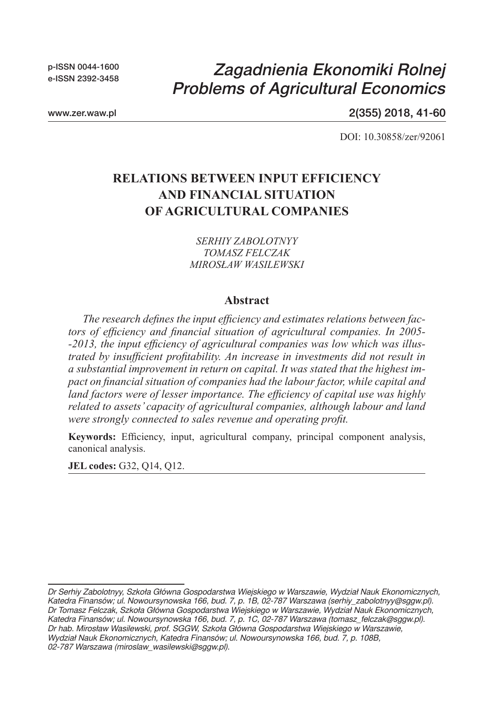p-ISSN 0044-1600 e-ISSN 2392-3458

# *Zagadnienia Ekonomiki Rolnej Problems of Agricultural Economics*

www.zer.waw.pl

2(355) 2018, 41-60

DOI: 10.30858/zer/92061

## **RELATIONS BETWEEN INPUT EFFICIENCY AND FINANCIAL SITUATION OF AGRICULTURAL COMPANIES**

*SERHIY ZABOLOTNYY TOMASZ FELCZAK MIROSŁAW WASILEWSKI*

#### **Abstract**

*The research defines the input efficiency and estimates relations between factors of efficiency and financial situation of agricultural companies. In 2005- -2013, the input efficiency of agricultural companies was low which was illustrated by insufficient profitability. An increase in investments did not result in a substantial improvement in return on capital. It was stated that the highest impact on financial situation of companies had the labour factor, while capital and land factors were of lesser importance. The efficiency of capital use was highly related to assets' capacity of agricultural companies, although labour and land were strongly connected to sales revenue and operating profit.* 

**Keywords:** Efficiency, input, agricultural company, principal component analysis, canonical analysis.

**JEL codes:** G32, Q14, Q12.

*Dr Serhiy Zabolotnyy, Szkoła Główna Gospodarstwa Wiejskiego w Warszawie, Wydział Nauk Ekonomicznych, Katedra Finansów; ul. Nowoursynowska 166, bud. 7, p. 1B, 02-787 Warszawa (serhiy\_zabolotnyy@sggw.pl). Dr Tomasz Felczak, Szkoła Główna Gospodarstwa Wiejskiego w Warszawie, Wydział Nauk Ekonomicznych, Katedra Finansów; ul. Nowoursynowska 166, bud. 7, p. 1C, 02-787 Warszawa (tomasz\_felczak@sggw.pl). Dr hab. Mirosław Wasilewski, prof. SGGW, Szkoła Główna Gospodarstwa Wiejskiego w Warszawie, Wydział Nauk Ekonomicznych, Katedra Finansów; ul. Nowoursynowska 166, bud. 7, p. 108B, 02-787 Warszawa (miroslaw\_wasilewski@sggw.pl).*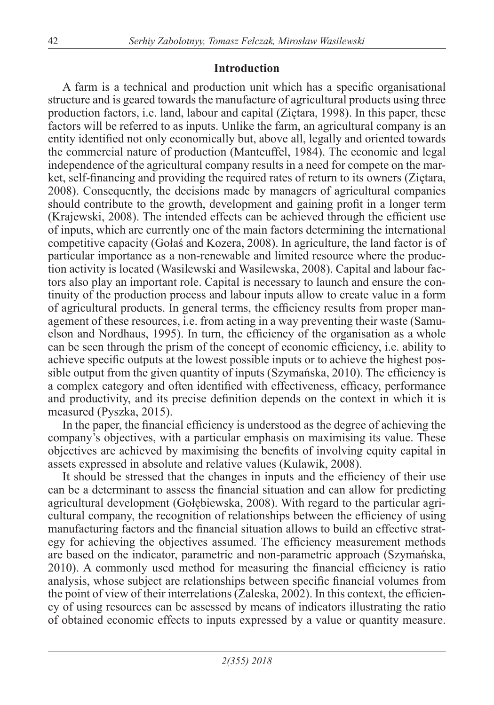#### **Introduction**

A farm is a technical and production unit which has a specific organisational structure and is geared towards the manufacture of agricultural products using three production factors, i.e. land, labour and capital (Ziętara, 1998). In this paper, these factors will be referred to as inputs. Unlike the farm, an agricultural company is an entity identified not only economically but, above all, legally and oriented towards the commercial nature of production (Manteuffel, 1984). The economic and legal independence of the agricultural company results in a need for compete on the market, self-financing and providing the required rates of return to its owners (Ziętara, 2008). Consequently, the decisions made by managers of agricultural companies should contribute to the growth, development and gaining profit in a longer term (Krajewski, 2008). The intended effects can be achieved through the efficient use of inputs, which are currently one of the main factors determining the international competitive capacity (Gołaś and Kozera, 2008). In agriculture, the land factor is of particular importance as a non-renewable and limited resource where the production activity is located (Wasilewski and Wasilewska, 2008). Capital and labour factors also play an important role. Capital is necessary to launch and ensure the continuity of the production process and labour inputs allow to create value in a form of agricultural products. In general terms, the efficiency results from proper management of these resources, i.e. from acting in a way preventing their waste (Samuelson and Nordhaus, 1995). In turn, the efficiency of the organisation as a whole can be seen through the prism of the concept of economic efficiency, i.e. ability to achieve specific outputs at the lowest possible inputs or to achieve the highest possible output from the given quantity of inputs (Szymańska, 2010). The efficiency is a complex category and often identified with effectiveness, efficacy, performance and productivity, and its precise definition depends on the context in which it is measured (Pyszka, 2015).

In the paper, the financial efficiency is understood as the degree of achieving the company's objectives, with a particular emphasis on maximising its value. These objectives are achieved by maximising the benefits of involving equity capital in assets expressed in absolute and relative values (Kulawik, 2008).

It should be stressed that the changes in inputs and the efficiency of their use can be a determinant to assess the financial situation and can allow for predicting agricultural development (Gołębiewska, 2008). With regard to the particular agricultural company, the recognition of relationships between the efficiency of using manufacturing factors and the financial situation allows to build an effective strategy for achieving the objectives assumed. The efficiency measurement methods are based on the indicator, parametric and non-parametric approach (Szymańska, 2010). A commonly used method for measuring the financial efficiency is ratio analysis, whose subject are relationships between specific financial volumes from the point of view of their interrelations (Zaleska, 2002). In this context, the efficiency of using resources can be assessed by means of indicators illustrating the ratio of obtained economic effects to inputs expressed by a value or quantity measure.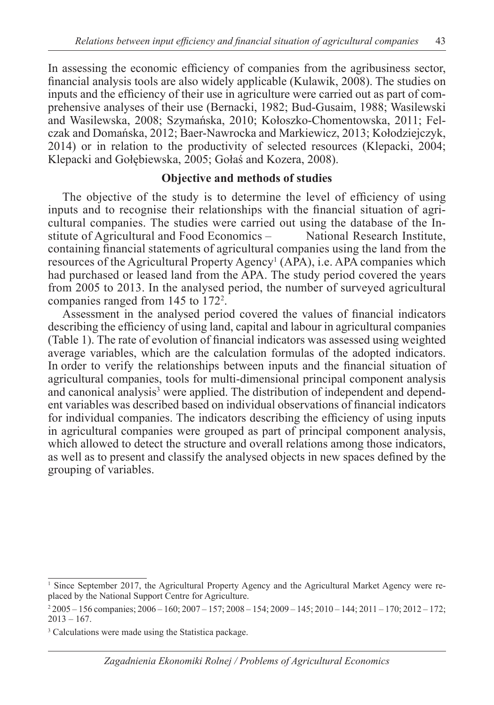In assessing the economic efficiency of companies from the agribusiness sector, financial analysis tools are also widely applicable (Kulawik, 2008). The studies on inputs and the efficiency of their use in agriculture were carried out as part of comprehensive analyses of their use (Bernacki, 1982; Bud-Gusaim, 1988; Wasilewski and Wasilewska, 2008; Szymańska, 2010; Kołoszko-Chomentowska, 2011; Felczak and Domańska, 2012; Baer-Nawrocka and Markiewicz, 2013; Kołodziejczyk, 2014) or in relation to the productivity of selected resources (Klepacki, 2004; Klepacki and Gołębiewska, 2005; Gołaś and Kozera, 2008).

#### **Objective and methods of studies**

The objective of the study is to determine the level of efficiency of using inputs and to recognise their relationships with the financial situation of agricultural companies. The studies were carried out using the database of the Institute of Agricultural and Food Economics – National Research Institute, containing financial statements of agricultural companies using the land from the resources of the Agricultural Property Agency<sup>1</sup> (APA), i.e. APA companies which had purchased or leased land from the APA. The study period covered the years from 2005 to 2013. In the analysed period, the number of surveyed agricultural companies ranged from 145 to 172<sup>2</sup> .

Assessment in the analysed period covered the values of financial indicators describing the efficiency of using land, capital and labour in agricultural companies (Table 1). The rate of evolution of financial indicators was assessed using weighted average variables, which are the calculation formulas of the adopted indicators. In order to verify the relationships between inputs and the financial situation of agricultural companies, tools for multi-dimensional principal component analysis and canonical analysis<sup>3</sup> were applied. The distribution of independent and dependent variables was described based on individual observations of financial indicators for individual companies. The indicators describing the efficiency of using inputs in agricultural companies were grouped as part of principal component analysis, which allowed to detect the structure and overall relations among those indicators, as well as to present and classify the analysed objects in new spaces defined by the grouping of variables.

<sup>&</sup>lt;sup>1</sup> Since September 2017, the Agricultural Property Agency and the Agricultural Market Agency were replaced by the National Support Centre for Agriculture.

<sup>2</sup> 2005 – 156 companies; 2006 – 160; 2007 – 157; 2008 – 154; 2009 – 145; 2010 – 144; 2011 – 170; 2012 – 172;  $2013 - 167$ .

<sup>3</sup> Calculations were made using the Statistica package.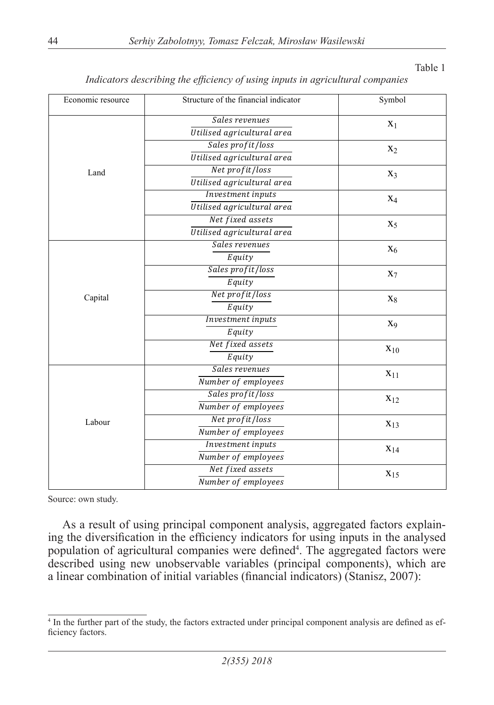| Economic resource | Structure of the financial indicator |                   |  |
|-------------------|--------------------------------------|-------------------|--|
|                   | Sales revenues                       | $X_1$             |  |
|                   | Utilised agricultural area           |                   |  |
|                   | Sales profit/loss                    | $X_2$             |  |
|                   | Utilised agricultural area           |                   |  |
| Land              | Net profit/loss                      | $X_3$             |  |
|                   | Utilised agricultural area           |                   |  |
|                   | Investment inputs                    | $X_4$             |  |
|                   | Utilised agricultural area           |                   |  |
|                   | Net fixed assets                     | $X_5$             |  |
|                   | Utilised agricultural area           |                   |  |
|                   | Sales revenues                       | $X_6$             |  |
|                   | Equity                               |                   |  |
|                   | Sales profit/loss                    | $X_7$             |  |
|                   | Equity                               |                   |  |
| Capital           | Net profit/loss                      | $X_8$             |  |
|                   | Equity                               |                   |  |
|                   | Investment inputs                    | X <sub>9</sub>    |  |
|                   | Equity                               |                   |  |
|                   | Net fixed assets                     | $\mathbf{x}_{10}$ |  |
|                   | Equity                               |                   |  |
|                   | Sales revenues                       | $X_{11}$          |  |
|                   | Number of employees                  |                   |  |
|                   | Sales profit/loss                    | $X_{12}$          |  |
|                   | Number of employees                  |                   |  |
| Labour            | Net profit/loss                      | $X_{13}$          |  |
|                   | Number of employees                  |                   |  |
|                   | Investment inputs                    | $X_{14}$          |  |
|                   | Number of employees                  |                   |  |
|                   | Net fixed assets                     | $X_{15}$          |  |
|                   | Number of employees                  |                   |  |

#### *Indicators describing the efficiency of using inputs in agricultural companies*

Source: own study.

As a result of using principal component analysis, aggregated factors explaining the diversification in the efficiency indicators for using inputs in the analysed population of agricultural companies were defined<sup>4</sup>. The aggregated factors were described using new unobservable variables (principal components), which are a linear combination of initial variables (financial indicators) (Stanisz, 2007):

<sup>4</sup> In the further part of the study, the factors extracted under principal component analysis are defined as efficiency factors.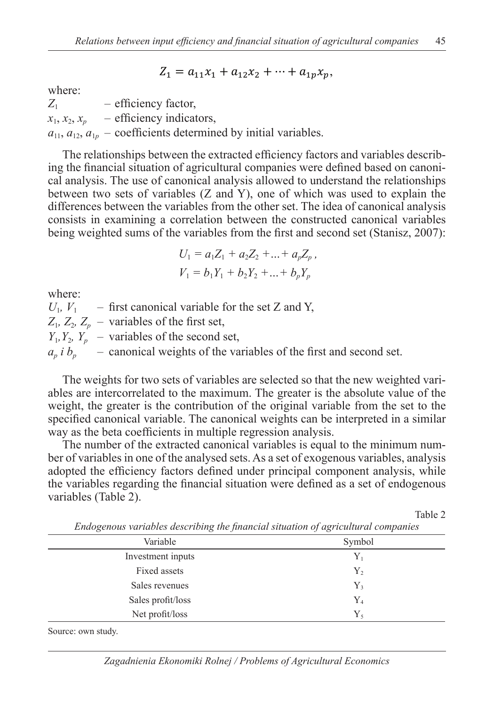$$
Z_1 = a_{11}x_1 + a_{12}x_2 + \dots + a_{1p}x_p,
$$

where:

*Z*<sup>1</sup> – efficiency factor, *Z*<sup>1</sup> – efficiency factor,  $x_1, x_2, x_p$  – efficiency indicators,  $a_{11}$ ,  $a_{12}$ ,  $a_{1p}$  – coefficients determined by initial variables.

The relationships between the extracted efficiency factors and variables describ-The relationships between the extracted efficiency factors and variables describing the financial situation of agricultural companies were defined based on canoni-ing the financial situation of agricultural companies were defined based on canonical analysis. The use of canonical analysis allowed to understand the relationships cal analysis. The use of canonical analysis allowed to understand the relationships between two sets of variables  $(Z \text{ and } Y)$ , one of which was used to explain the differences between the variables from the other set. The idea of canonical analysis differences between the variables from the other set. The idea of canonical analysis consists in examining a correlation between the constructed canonical variables consists in examining a correlation between the constructed canonical variables being weighted sums of the variables from the first and second set (Stanisz, 2007): being weighted sums of the variables from the first and second set (Stanisz, 2007):

$$
U_1 = a_1 Z_1 + a_2 Z_2 + \dots + a_p Z_p,
$$
  

$$
V_1 = b_1 Y_1 + b_2 Y_2 + \dots + b_p Y_p
$$

where:

 $U_1$ ,  $V_1$  – first canonical variable for the set Z and Y,  $Z_1$ ,  $Z_2$ ,  $Z_p$  – variables of the first set,  $Y_1, Y_2, Y_p$  – variables of the second set,  $a_p$  *i*  $b_p$  – canonical weights of the variables of the first and second set.

The weights for two sets of variables are selected so that the new weighted vari-The weights for two sets of variables are selected so that the new weighted variables are intercorrelated to the maximum. The greater is the absolute value of the weight, the greater is the contribution of the original variable from the set to the specified canonical variable. The canonical weights can be interpreted in a similar way as the beta coefficients in multiple regression analysis. way as the beta coefficients in multiple regression analysis.

The number of the extracted canonical variables is equal to the minimum number of variables in one of the analysed sets. As a set of exogenous variables, analysis adopted the efficiency factors defined under principal component analysis, while adopted the efficiency factors defined under principal component analysis, while the variables regarding the financial situation were defined as a set of endogenous the variables regarding the financial situation were defined as a set of endogenous variables (Table 2). variables (Table 2).

Table 2 Table 2

| Variable          | Symbol         |  |  |
|-------------------|----------------|--|--|
| Investment inputs | $Y_1$          |  |  |
| Fixed assets      | $Y_2$          |  |  |
| Sales revenues    | $Y_{3}$        |  |  |
| Sales profit/loss | $Y_4$          |  |  |
| Net profit/loss   | $Y_{\text{S}}$ |  |  |

*Endogenous variables describing the financial situation of agricultural companies endogenous variables describing the financial situation of agricultural companies*

Source: own study. Source: own study.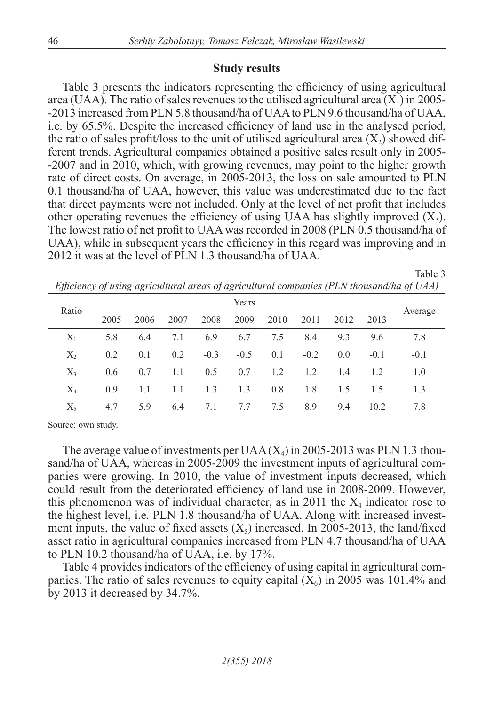### **Study results**

Table 3 presents the indicators representing the efficiency of using agricultural area (UAA). The ratio of sales revenues to the utilised agricultural area  $(X_1)$  in 2005--2013 increased from PLN 5.8 thousand/ha of UAA to PLN 9.6 thousand/ha of UAA, i.e. by 65.5%. Despite the increased efficiency of land use in the analysed period, the ratio of sales profit/loss to the unit of utilised agricultural area  $(X_2)$  showed different trends. Agricultural companies obtained a positive sales result only in 2005- -2007 and in 2010, which, with growing revenues, may point to the higher growth rate of direct costs. On average, in 2005-2013, the loss on sale amounted to PLN 0.1 thousand/ha of UAA, however, this value was underestimated due to the fact that direct payments were not included. Only at the level of net profit that includes other operating revenues the efficiency of using UAA has slightly improved  $(X_3)$ . The lowest ratio of net profit to UAA was recorded in 2008 (PLN 0.5 thousand/ha of UAA), while in subsequent years the efficiency in this regard was improving and in 2012 it was at the level of PLN 1.3 thousand/ha of UAA.

| Ratio   | Years |      |      |        |        |      |        |      |        |         |
|---------|-------|------|------|--------|--------|------|--------|------|--------|---------|
|         | 2005  | 2006 | 2007 | 2008   | 2009   | 2010 | 2011   | 2012 | 2013   | Average |
| $X_1$   | 5.8   | 6.4  | 7.1  | 6.9    | 6.7    | 7.5  | 8.4    | 9.3  | 9.6    | 7.8     |
| $X_{2}$ | 0.2   | 0.1  | 0.2  | $-0.3$ | $-0.5$ | 0.1  | $-0.2$ | 0.0  | $-0.1$ | $-0.1$  |
| $X_{3}$ | 0.6   | 0.7  | 1.1  | 0.5    | 0.7    | 1.2  | 1.2    | 1.4  | 1.2    | 1.0     |
| $X_4$   | 0.9   | 1.1  | 1.1  | 1.3    | 1.3    | 0.8  | 1.8    | 1.5  | 1.5    | 1.3     |
| $X_{5}$ | 4.7   | 5.9  | 6.4  | 7.1    | 7.7    | 7.5  | 8.9    | 9.4  | 10.2   | 7.8     |

*Efficiency of using agricultural areas of agricultural companies (PLN thousand/ha of UAA)*

Table 3

Source: own study.

The average value of investments per  $UAA(X_4)$  in 2005-2013 was PLN 1.3 thousand/ha of UAA, whereas in 2005-2009 the investment inputs of agricultural companies were growing. In 2010, the value of investment inputs decreased, which could result from the deteriorated efficiency of land use in 2008-2009. However, this phenomenon was of individual character, as in 2011 the  $X_4$  indicator rose to the highest level, i.e. PLN 1.8 thousand/ha of UAA. Along with increased investment inputs, the value of fixed assets  $(X_5)$  increased. In 2005-2013, the land/fixed asset ratio in agricultural companies increased from PLN 4.7 thousand/ha of UAA to PLN 10.2 thousand/ha of UAA, i.e. by 17%.

Table 4 provides indicators of the efficiency of using capital in agricultural companies. The ratio of sales revenues to equity capital  $(X_6)$  in 2005 was 101.4% and by 2013 it decreased by 34.7%.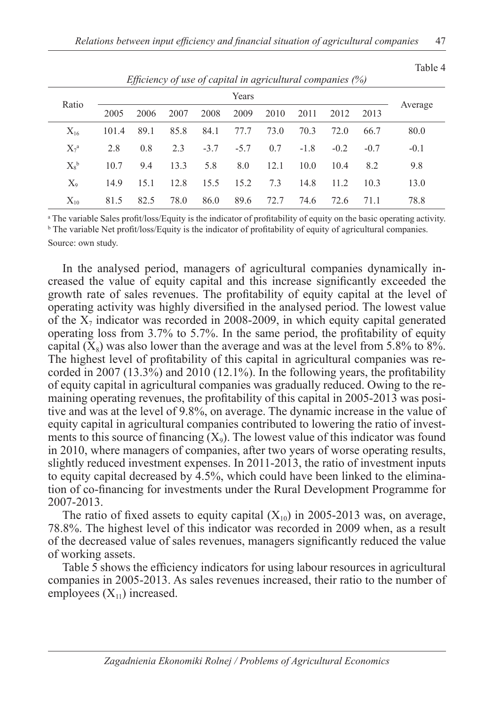| Ratio       |       |      |      |        | Years  |      |        |        |        |         |
|-------------|-------|------|------|--------|--------|------|--------|--------|--------|---------|
|             | 2005  | 2006 | 2007 | 2008   | 2009   | 2010 | 2011   | 2012   | 2013   | Average |
| $X_{16}$    | 101.4 | 89.1 | 85.8 | 84.1   | 77.7   | 73.0 | 70.3   | 72.0   | 66.7   | 80.0    |
| $X_7^a$     | 2.8   | 0.8  | 2.3  | $-3.7$ | $-5.7$ | 0.7  | $-1.8$ | $-0.2$ | $-0.7$ | $-0.1$  |
| $X_{s}^{b}$ | 10.7  | 9.4  | 13.3 | 5.8    | 8.0    | 12.1 | 10.0   | 10.4   | 8.2    | 9.8     |
| $X_{9}$     | 14.9  | 15.1 | 12.8 | 15.5   | 15.2   | 7.3  | 14.8   | 11.2   | 10.3   | 13.0    |
| $X_{10}$    | 81.5  | 82.5 | 78.0 | 86.0   | 89.6   | 72.7 | 74.6   | 72.6   | 71.1   | 78.8    |

*Efficiency of use of capital in agricultural companies (%)*

a The variable Sales profit/loss/Equity is the indicator of profitability of equity on the basic operating activity. <sup>b</sup> The variable Net profit/loss/Equity is the indicator of profitability of equity of agricultural companies.

Source: own study.

In the analysed period, managers of agricultural companies dynamically increased the value of equity capital and this increase significantly exceeded the growth rate of sales revenues. The profitability of equity capital at the level of operating activity was highly diversified in the analysed period. The lowest value of the  $X_7$  indicator was recorded in 2008-2009, in which equity capital generated operating loss from 3.7% to 5.7%. In the same period, the profitability of equity capital  $(X_8)$  was also lower than the average and was at the level from 5.8% to 8%. The highest level of profitability of this capital in agricultural companies was recorded in 2007 (13.3%) and 2010 (12.1%). In the following years, the profitability of equity capital in agricultural companies was gradually reduced. Owing to the remaining operating revenues, the profitability of this capital in 2005-2013 was positive and was at the level of 9.8%, on average. The dynamic increase in the value of equity capital in agricultural companies contributed to lowering the ratio of investments to this source of financing  $(X_9)$ . The lowest value of this indicator was found in 2010, where managers of companies, after two years of worse operating results, slightly reduced investment expenses. In 2011-2013, the ratio of investment inputs to equity capital decreased by 4.5%, which could have been linked to the elimination of co-financing for investments under the Rural Development Programme for 2007-2013.

The ratio of fixed assets to equity capital  $(X_{10})$  in 2005-2013 was, on average, 78.8%. The highest level of this indicator was recorded in 2009 when, as a result of the decreased value of sales revenues, managers significantly reduced the value of working assets.

Table 5 shows the efficiency indicators for using labour resources in agricultural companies in 2005-2013. As sales revenues increased, their ratio to the number of employees  $(X_{11})$  increased.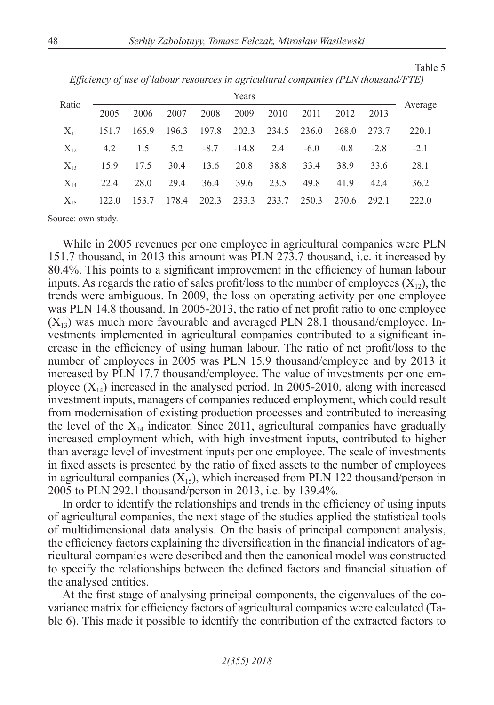| v        |       |       |       |        | $\epsilon$ |       |        |        |        |         |
|----------|-------|-------|-------|--------|------------|-------|--------|--------|--------|---------|
| Ratio    |       |       |       |        | Years      |       |        |        |        |         |
|          | 2005  | 2006  | 2007  | 2008   | 2009       | 2010  | 2011   | 2012   | 2013   | Average |
| $X_{11}$ | 151.7 | 165.9 | 196.3 | 197.8  | 202.3      | 234.5 | 236.0  | 268.0  | 273.7  | 220.1   |
| $X_{12}$ | 4.2   | 1.5   | 5.2   | $-8.7$ | $-14.8$    | 2.4   | $-6.0$ | $-0.8$ | $-2.8$ | $-2.1$  |
| $X_{13}$ | 15.9  | 17.5  | 30.4  | 13.6   | 20.8       | 38.8  | 33.4   | 38.9   | 33.6   | 28.1    |
| $X_{14}$ | 22.4  | 28.0  | 29.4  | 36.4   | 39.6       | 23.5  | 49.8   | 41.9   | 42.4   | 36.2    |
| $X_{15}$ | 122.0 | 153.7 | 178.4 | 202.3  | 233.3      | 233.7 | 250.3  | 270.6  | 292.1  | 222.0   |

*Efficiency of use of labour resources in agricultural companies (PLN thousand/FTE)*

Table 5

Source: own study.

While in 2005 revenues per one employee in agricultural companies were PLN 151.7 thousand, in 2013 this amount was PLN 273.7 thousand, i.e. it increased by 80.4%. This points to a significant improvement in the efficiency of human labour inputs. As regards the ratio of sales profit/loss to the number of employees  $(X_{12})$ , the trends were ambiguous. In 2009, the loss on operating activity per one employee was PLN 14.8 thousand. In 2005-2013, the ratio of net profit ratio to one employee  $(X_{13})$  was much more favourable and averaged PLN 28.1 thousand/employee. Investments implemented in agricultural companies contributed to a significant increase in the efficiency of using human labour. The ratio of net profit/loss to the number of employees in 2005 was PLN 15.9 thousand/employee and by 2013 it increased by PLN 17.7 thousand/employee. The value of investments per one employee  $(X_{14})$  increased in the analysed period. In 2005-2010, along with increased investment inputs, managers of companies reduced employment, which could result from modernisation of existing production processes and contributed to increasing the level of the  $X_{14}$  indicator. Since 2011, agricultural companies have gradually increased employment which, with high investment inputs, contributed to higher than average level of investment inputs per one employee. The scale of investments in fixed assets is presented by the ratio of fixed assets to the number of employees in agricultural companies  $(X_{15})$ , which increased from PLN 122 thousand/person in 2005 to PLN 292.1 thousand/person in 2013, i.e. by 139.4%.

In order to identify the relationships and trends in the efficiency of using inputs of agricultural companies, the next stage of the studies applied the statistical tools of multidimensional data analysis. On the basis of principal component analysis, the efficiency factors explaining the diversification in the financial indicators of agricultural companies were described and then the canonical model was constructed to specify the relationships between the defined factors and financial situation of the analysed entities.

At the first stage of analysing principal components, the eigenvalues of the covariance matrix for efficiency factors of agricultural companies were calculated (Table 6). This made it possible to identify the contribution of the extracted factors to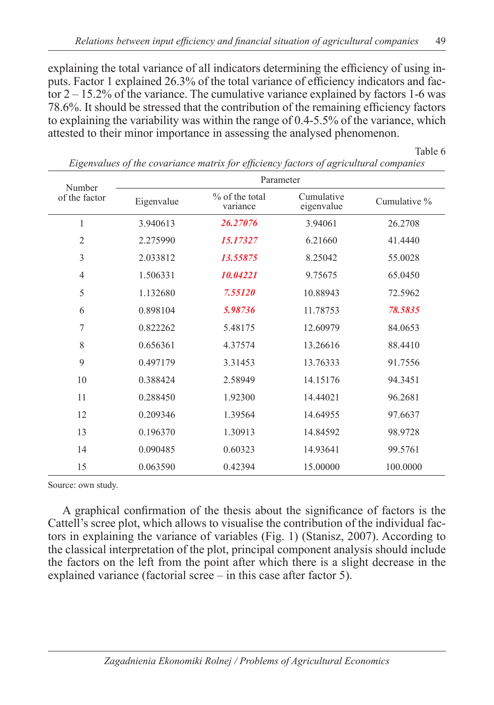explaining the total variance of all indicators determining the efficiency of using inputs. Factor 1 explained 26.3% of the total variance of efficiency indicators and factor  $2 - 15.2\%$  of the variance. The cumulative variance explained by factors 1-6 was 78.6%. It should be stressed that the contribution of the remaining efficiency factors to explaining the variability was within the range of 0.4-5.5% of the variance, which attested to their minor importance in assessing the analysed phenomenon.

Table 6

| Number         |            | Parameter                    |                          |              |  |  |  |  |  |
|----------------|------------|------------------------------|--------------------------|--------------|--|--|--|--|--|
| of the factor  | Eigenvalue | $%$ of the total<br>variance | Cumulative<br>eigenvalue | Cumulative % |  |  |  |  |  |
| $\mathbf{1}$   | 3.940613   | 26.27076                     | 3.94061                  | 26.2708      |  |  |  |  |  |
| $\mathfrak{2}$ | 2.275990   | 15.17327                     | 6.21660                  | 41.4440      |  |  |  |  |  |
| $\mathfrak{Z}$ | 2.033812   | 13.55875                     | 8.25042                  | 55.0028      |  |  |  |  |  |
| $\overline{4}$ | 1.506331   | 10.04221                     | 9.75675                  | 65.0450      |  |  |  |  |  |
| 5              | 1.132680   | 7.55120                      | 10.88943                 | 72.5962      |  |  |  |  |  |
| 6              | 0.898104   | 5.98736                      | 11.78753                 | 78.5835      |  |  |  |  |  |
| 7              | 0.822262   | 5.48175                      | 12.60979                 | 84.0653      |  |  |  |  |  |
| 8              | 0.656361   | 4.37574                      | 13.26616                 | 88.4410      |  |  |  |  |  |
| 9              | 0.497179   | 3.31453                      | 13.76333                 | 91.7556      |  |  |  |  |  |
| 10             | 0.388424   | 2.58949                      | 14.15176                 | 94.3451      |  |  |  |  |  |
| 11             | 0.288450   | 1.92300                      | 14.44021                 | 96.2681      |  |  |  |  |  |
| 12             | 0.209346   | 1.39564                      | 14.64955                 | 97.6637      |  |  |  |  |  |
| 13             | 0.196370   | 1.30913                      | 14.84592                 | 98.9728      |  |  |  |  |  |
| 14             | 0.090485   | 0.60323                      | 14.93641                 | 99.5761      |  |  |  |  |  |
| 15             | 0.063590   | 0.42394                      | 15.00000                 | 100.0000     |  |  |  |  |  |

*Eigenvalues of the covariance matrix for efficiency factors of agricultural companies*

Source: own study.

A graphical confirmation of the thesis about the significance of factors is the Cattell's scree plot, which allows to visualise the contribution of the individual factors in explaining the variance of variables (Fig. 1) (Stanisz, 2007). According to the classical interpretation of the plot, principal component analysis should include the factors on the left from the point after which there is a slight decrease in the explained variance (factorial scree – in this case after factor 5).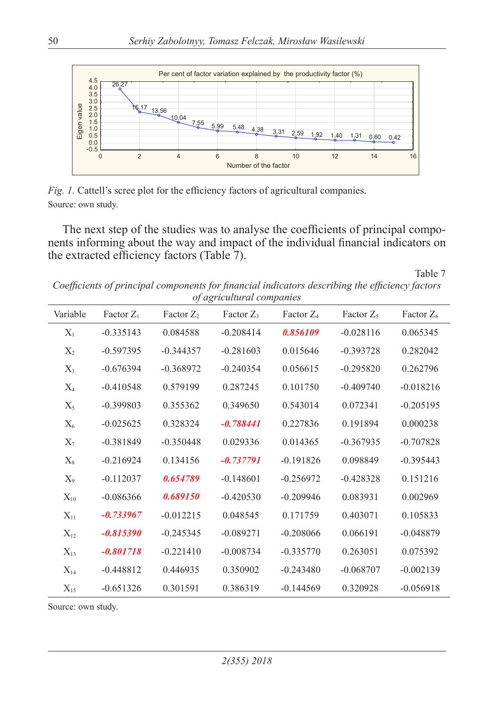

*Fig. 1.* Cattell's scree plot for the efficiency factors of agricultural companies. Source: own study.

The next step of the studies was to analyse the coefficients of principal components informing about the way and impact of the individual financial indicators on the extracted efficiency factors (Table 7).

Table 7

*Coefficients of principal components for financial indicators describing the efficiency factors of agricultural companies*

| Variable | Factor $Z_1$ | Factor $Z_2$ | Factor $Z_3$ | Factor $Z_4$ | Factor $Z_5$ | Factor $Z_6$ |
|----------|--------------|--------------|--------------|--------------|--------------|--------------|
| $X_1$    | $-0.335143$  | 0.084588     | $-0.208414$  | 0.856109     | $-0.028116$  | 0.065345     |
| $X_2$    | $-0.597395$  | $-0.344357$  | $-0.281603$  | 0.015646     | $-0.393728$  | 0.282042     |
| $X_3$    | $-0.676394$  | $-0.368972$  | $-0.240354$  | 0.056615     | $-0.295820$  | 0.262796     |
| $X_4$    | $-0.410548$  | 0.579199     | 0.287245     | 0.101750     | $-0.409740$  | $-0.018216$  |
| $X_5$    | $-0.399803$  | 0.355362     | 0.349650     | 0.543014     | 0.072341     | $-0.205195$  |
| $X_6$    | $-0.025625$  | 0.328324     | $-0.788441$  | 0.227836     | 0.191894     | 0.000238     |
| $X_7$    | $-0.381849$  | $-0.350448$  | 0.029336     | 0.014365     | $-0.367935$  | $-0.707828$  |
| $X_8$    | $-0.216924$  | 0.134156     | $-0.737791$  | $-0.191826$  | 0.098849     | $-0.395443$  |
| $X_9$    | $-0.112037$  | 0.654789     | $-0.148601$  | $-0.256972$  | $-0.428328$  | 0.151216     |
| $X_{10}$ | $-0.086366$  | 0.689150     | $-0.420530$  | $-0.209946$  | 0.083931     | 0.002969     |
| $X_{11}$ | $-0.733967$  | $-0.012215$  | 0.048545     | 0.171759     | 0.403071     | 0.105833     |
| $X_{12}$ | $-0.815390$  | $-0.245345$  | $-0.089271$  | $-0.208066$  | 0.066191     | $-0.048879$  |
| $X_{13}$ | $-0.801718$  | $-0.221410$  | $-0.008734$  | $-0.335770$  | 0.263051     | 0.075392     |
| $X_{14}$ | $-0.448812$  | 0.446935     | 0.350902     | $-0.243480$  | $-0.068707$  | $-0.002139$  |
| $X_{15}$ | $-0.651326$  | 0.301591     | 0.386319     | $-0.144569$  | 0.320928     | $-0.056918$  |

Source: own study.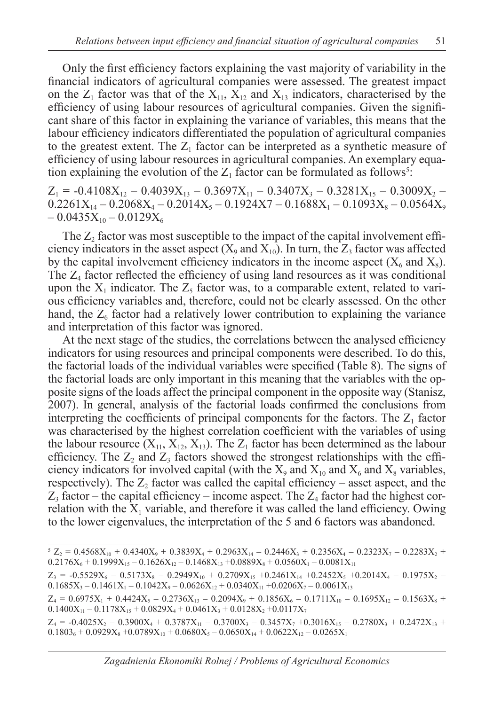Only the first efficiency factors explaining the vast majority of variability in the financial indicators of agricultural companies were assessed. The greatest impact on the  $Z_1$  factor was that of the  $X_{11}$ ,  $X_{12}$  and  $X_{13}$  indicators, characterised by the efficiency of using labour resources of agricultural companies. Given the significant share of this factor in explaining the variance of variables, this means that the labour efficiency indicators differentiated the population of agricultural companies to the greatest extent. The  $Z_1$  factor can be interpreted as a synthetic measure of efficiency of using labour resources in agricultural companies. An exemplary equation explaining the evolution of the  $Z_1$  factor can be formulated as follows<sup>5</sup>:

 $Z_1 = -0.4108X_{12} - 0.4039X_{13} - 0.3697X_{11} - 0.3407X_3 - 0.3281X_{15} - 0.3009X_2 0.2261X_{14} - 0.2068X_4 - 0.2014X_5 - 0.1924X7 - 0.1688X_1 - 0.1093X_8 - 0.0564X_9$  $-0.0435X_{10} - 0.0129X_{6}$ 

The  $Z_2$  factor was most susceptible to the impact of the capital involvement efficiency indicators in the asset aspect  $(X_9 \text{ and } X_{10})$ . In turn, the Z<sub>3</sub> factor was affected by the capital involvement efficiency indicators in the income aspect  $(X_6$  and  $X_8)$ . The  $Z<sub>4</sub>$  factor reflected the efficiency of using land resources as it was conditional upon the  $X_1$  indicator. The  $Z_5$  factor was, to a comparable extent, related to various efficiency variables and, therefore, could not be clearly assessed. On the other hand, the  $Z_6$  factor had a relatively lower contribution to explaining the variance and interpretation of this factor was ignored.

At the next stage of the studies, the correlations between the analysed efficiency indicators for using resources and principal components were described. To do this, the factorial loads of the individual variables were specified (Table 8). The signs of the factorial loads are only important in this meaning that the variables with the opposite signs of the loads affect the principal component in the opposite way (Stanisz, 2007). In general, analysis of the factorial loads confirmed the conclusions from interpreting the coefficients of principal components for the factors. The  $Z_1$  factor was characterised by the highest correlation coefficient with the variables of using the labour resource  $(X_{11}, X_{12}, X_{13})$ . The  $Z_1$  factor has been determined as the labour efficiency. The  $Z_2$  and  $Z_3$  factors showed the strongest relationships with the efficiency indicators for involved capital (with the  $X_9$  and  $X_{10}$  and  $X_6$  and  $X_8$  variables, respectively). The  $Z_2$  factor was called the capital efficiency – asset aspect, and the  $Z_3$  factor – the capital efficiency – income aspect. The  $Z_4$  factor had the highest correlation with the  $X_1$  variable, and therefore it was called the land efficiency. Owing to the lower eigenvalues, the interpretation of the 5 and 6 factors was abandoned.

 $5 Z_2 = 0.4568 X_{10} + 0.4340 X_9 + 0.3839 X_4 + 0.2963 X_{14} - 0.2446 X_3 + 0.2356 X_4 - 0.2323 X_7 - 0.2283 X_2 +$  $0.2176X_6 + 0.1999X_{15} - 0.1626X_{12} - 0.1468X_{13} + 0.0889X_8 + 0.0560X_1 - 0.0081X_{11}$ 

 $Z_3$  = -0.5529 $X_6$  – 0.5173 $X_8$  – 0.2949 $X_{10}$  + 0.2709 $X_{15}$  +0.2461 $X_{14}$  +0.2452 $X_5$  +0.2014 $X_4$  – 0.1975 $X_2$  –  $0.1685X_3 - 0.1461X_1 - 0.1042X_9 - 0.0626X_{12} + 0.0340X_{11} + 0.0206X_7 - 0.0061X_{13}$ 

 $Z_4 = 0.6975X_1 + 0.4424X_5 - 0.2736X_{13} - 0.2094X_9 + 0.1856X_6 - 0.1711X_{10} - 0.1695X_{12} - 0.1563X_8 +$  $0.1400X_{11} - 0.1178X_{15} + 0.0829X_4 + 0.0461X_3 + 0.0128X_2 + 0.0117X_7$ 

 $Z_4$  = -0.4025X<sub>2</sub> – 0.3900X<sub>4</sub> + 0.3787X<sub>11</sub> – 0.3700X<sub>3</sub> – 0.3457X<sub>7</sub> +0.3016X<sub>15</sub> – 0.2780X<sub>3</sub> + 0.2472X<sub>13</sub> +  $0.1803_6 + 0.0929X_8 + 0.0789X_{10} + 0.0680X_5 - 0.0650X_{14} + 0.0622X_{12} - 0.0265X_{14}$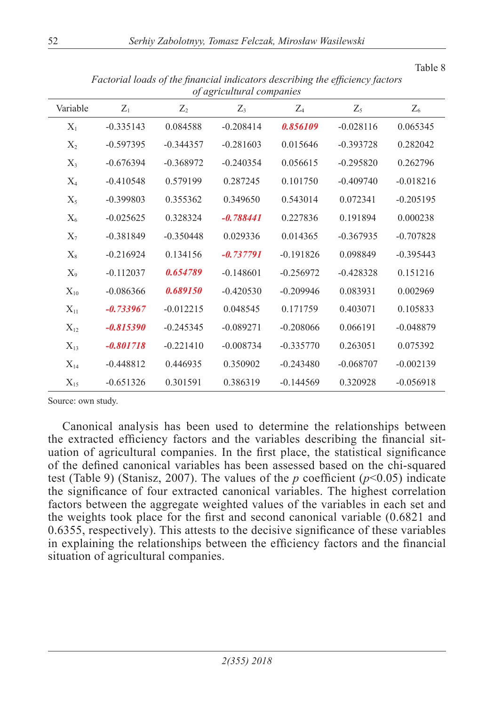|          |             |             | of agriculum at companies |             |             |             |
|----------|-------------|-------------|---------------------------|-------------|-------------|-------------|
| Variable | $Z_1$       | $Z_2$       | $Z_3$                     | $Z_4$       | $Z_5$       | $Z_6$       |
| $X_1$    | $-0.335143$ | 0.084588    | $-0.208414$               | 0.856109    | $-0.028116$ | 0.065345    |
| $X_2$    | $-0.597395$ | $-0.344357$ | $-0.281603$               | 0.015646    | $-0.393728$ | 0.282042    |
| $X_3$    | $-0.676394$ | $-0.368972$ | $-0.240354$               | 0.056615    | $-0.295820$ | 0.262796    |
| $X_4$    | $-0.410548$ | 0.579199    | 0.287245                  | 0.101750    | $-0.409740$ | $-0.018216$ |
| $X_5$    | $-0.399803$ | 0.355362    | 0.349650                  | 0.543014    | 0.072341    | $-0.205195$ |
| $X_6$    | $-0.025625$ | 0.328324    | $-0.788441$               | 0.227836    | 0.191894    | 0.000238    |
| $X_7$    | $-0.381849$ | $-0.350448$ | 0.029336                  | 0.014365    | $-0.367935$ | $-0.707828$ |
| $X_8$    | $-0.216924$ | 0.134156    | $-0.737791$               | $-0.191826$ | 0.098849    | $-0.395443$ |
| $X_9$    | $-0.112037$ | 0.654789    | $-0.148601$               | $-0.256972$ | $-0.428328$ | 0.151216    |
| $X_{10}$ | $-0.086366$ | 0.689150    | $-0.420530$               | $-0.209946$ | 0.083931    | 0.002969    |
| $X_{11}$ | $-0.733967$ | $-0.012215$ | 0.048545                  | 0.171759    | 0.403071    | 0.105833    |
| $X_{12}$ | $-0.815390$ | $-0.245345$ | $-0.089271$               | $-0.208066$ | 0.066191    | $-0.048879$ |
| $X_{13}$ | $-0.801718$ | $-0.221410$ | $-0.008734$               | $-0.335770$ | 0.263051    | 0.075392    |
| $X_{14}$ | $-0.448812$ | 0.446935    | 0.350902                  | $-0.243480$ | $-0.068707$ | $-0.002139$ |
| $X_{15}$ | $-0.651326$ | 0.301591    | 0.386319                  | $-0.144569$ | 0.320928    | $-0.056918$ |

*Factorial loads of the financial indicators describing the efficiency factors of agricultural companies*

Source: own study.

Canonical analysis has been used to determine the relationships between the extracted efficiency factors and the variables describing the financial situation of agricultural companies. In the first place, the statistical significance of the defined canonical variables has been assessed based on the chi-squared test (Table 9) (Stanisz, 2007). The values of the *p* coefficient  $(p<0.05)$  indicate the significance of four extracted canonical variables. The highest correlation factors between the aggregate weighted values of the variables in each set and the weights took place for the first and second canonical variable (0.6821 and 0.6355, respectively). This attests to the decisive significance of these variables in explaining the relationships between the efficiency factors and the financial situation of agricultural companies.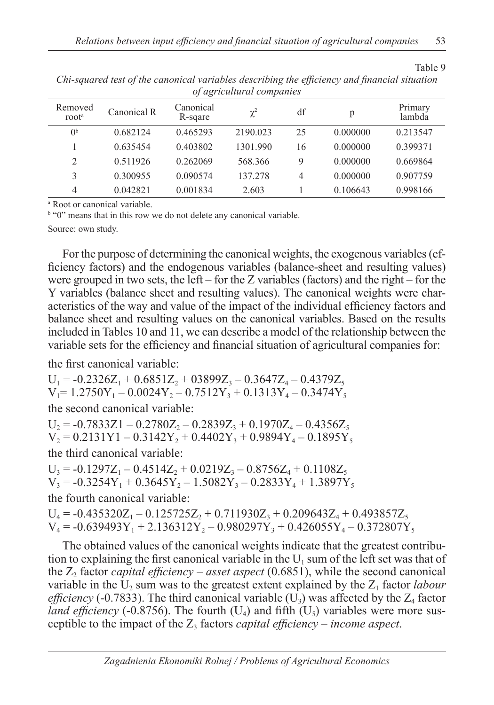| Removed<br>root <sup>a</sup> | Canonical R | Canonical<br>R-sgare | $\chi^2$ | df | р        | Primary<br>lambda |
|------------------------------|-------------|----------------------|----------|----|----------|-------------------|
| 0 <sup>b</sup>               | 0.682124    | 0.465293             | 2190.023 | 25 | 0.000000 | 0.213547          |
|                              | 0.635454    | 0.403802             | 1301.990 | 16 | 0.000000 | 0.399371          |
| 2                            | 0.511926    | 0.262069             | 568.366  | 9  | 0.000000 | 0.669864          |
| 3                            | 0.300955    | 0.090574             | 137.278  | 4  | 0.000000 | 0.907759          |
| $\overline{4}$               | 0.042821    | 0.001834             | 2.603    |    | 0.106643 | 0.998166          |

*Chi-squared test of the canonical variables describing the efficiency and financial situation of agricultural companies*

a Root or canonical variable.

<sup>b</sup> "0" means that in this row we do not delete any canonical variable.

Source: own study.

For the purpose of determining the canonical weights, the exogenous variables (efficiency factors) and the endogenous variables (balance-sheet and resulting values) were grouped in two sets, the left – for the Z variables (factors) and the right – for the Y variables (balance sheet and resulting values). The canonical weights were characteristics of the way and value of the impact of the individual efficiency factors and balance sheet and resulting values on the canonical variables. Based on the results included in Tables 10 and 11, we can describe a model of the relationship between the variable sets for the efficiency and financial situation of agricultural companies for:

the first canonical variable:

 $U_1 = -0.2326Z_1 + 0.6851Z_2 + 03899Z_3 - 0.3647Z_4 - 0.4379Z_5$  $V_1$ = 1.2750Y<sub>1</sub> – 0.0024Y<sub>2</sub> – 0.7512Y<sub>3</sub> + 0.1313Y<sub>4</sub> – 0.3474Y<sub>5</sub> the second canonical variable:

 $U_2 = -0.7833Z1 - 0.2780Z_2 - 0.2839Z_3 + 0.1970Z_4 - 0.4356Z_5$  $V_2 = 0.2131Y1 - 0.3142Y_2 + 0.4402Y_3 + 0.9894Y_4 - 0.1895Y_5$ the third canonical variable:

 $U_3 = -0.1297Z_1 - 0.4514Z_2 + 0.0219Z_3 - 0.8756Z_4 + 0.1108Z_5$  $V_3 = -0.3254Y_1 + 0.3645Y_2 - 1.5082Y_3 - 0.2833Y_4 + 1.3897Y_5$ the fourth canonical variable:  $U_4 = -0.435320Z_1 - 0.125725Z_2 + 0.711930Z_3 + 0.209643Z_4 + 0.493857Z_5$ 

 $V_4$  = -0.639493Y<sub>1</sub> + 2.136312Y<sub>2</sub> – 0.980297Y<sub>3</sub> + 0.426055Y<sub>4</sub> – 0.372807Y<sub>5</sub>

The obtained values of the canonical weights indicate that the greatest contribution to explaining the first canonical variable in the  $U_1$  sum of the left set was that of the  $Z_2$  factor *capital efficiency – asset aspect* (0.6851), while the second canonical variable in the  $U_2$  sum was to the greatest extent explained by the  $Z_1$  factor *labour efficiency* (-0.7833). The third canonical variable  $(U_3)$  was affected by the  $Z_4$  factor *land efficiency* (-0.8756). The fourth  $(U_4)$  and fifth  $(U_5)$  variables were more susceptible to the impact of the  $Z_3$  factors *capital efficiency – income aspect*.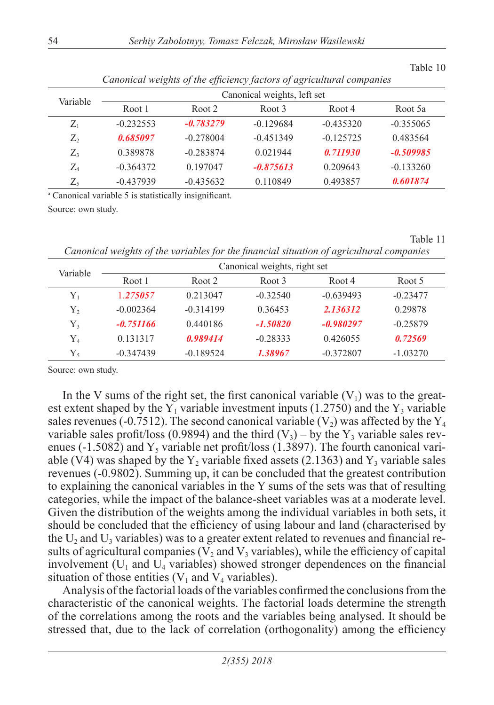|          | Canonical weights of the efficiency factors of agricultural companies |                             |                   |             |             |  |  |  |  |  |
|----------|-----------------------------------------------------------------------|-----------------------------|-------------------|-------------|-------------|--|--|--|--|--|
| Variable |                                                                       | Canonical weights, left set |                   |             |             |  |  |  |  |  |
|          | Root 1                                                                | Root 2                      | Root <sub>3</sub> | Root 4      | Root 5a     |  |  |  |  |  |
| $Z_1$    | $-0.232553$                                                           | $-0.783279$                 | $-0.129684$       | $-0.435320$ | $-0.355065$ |  |  |  |  |  |
| $Z_2$    | 0.685097                                                              | $-0.278004$                 | $-0.451349$       | $-0.125725$ | 0.483564    |  |  |  |  |  |
| $Z_3$    | 0.389878                                                              | $-0.283874$                 | 0.021944          | 0.711930    | $-0.509985$ |  |  |  |  |  |
| $Z_4$    | $-0.364372$                                                           | 0.197047                    | $-0.875613$       | 0.209643    | $-0.133260$ |  |  |  |  |  |
| $Z_5$    | $-0.437939$                                                           | $-0.435632$                 | 0.110849          | 0.493857    | 0.601874    |  |  |  |  |  |

*Canonical weights of the efficiency factors of agricultural companies*

a Canonical variable 5 is statistically insignificant.

Source: own study.

Table 11

Table 10

*Canonical weights of the variables for the financial situation of agricultural companies*

| Variable    | Canonical weights, right set |             |            |             |            |  |  |  |  |
|-------------|------------------------------|-------------|------------|-------------|------------|--|--|--|--|
|             | Root 1                       | Root 2      | Root 3     | Root 4      | Root 5     |  |  |  |  |
| ${\rm Y}_1$ | 1.275057                     | 0.213047    | $-0.32540$ | $-0.639493$ | $-0.23477$ |  |  |  |  |
| Υ,          | $-0.002364$                  | $-0.314199$ | 0.36453    | 2.136312    | 0.29878    |  |  |  |  |
| Y,          | $-0.751166$                  | 0.440186    | $-1.50820$ | $-0.980297$ | $-0.25879$ |  |  |  |  |
| ${\rm Y}_4$ | 0.131317                     | 0.989414    | $-0.28333$ | 0.426055    | 0.72569    |  |  |  |  |
| $Y_{5}$     | $-0.347439$                  | $-0.189524$ | 1.38967    | $-0.372807$ | $-1.03270$ |  |  |  |  |

Source: own study.

In the V sums of the right set, the first canonical variable  $(V_1)$  was to the greatest extent shaped by the  $Y_1$  variable investment inputs (1.2750) and the  $Y_3$  variable sales revenues (-0.7512). The second canonical variable (V<sub>2</sub>) was affected by the Y<sub>4</sub> variable sales profit/loss (0.9894) and the third  $(V_3)$  – by the Y<sub>3</sub> variable sales revenues (-1.5082) and  $Y_5$  variable net profit/loss (1.3897). The fourth canonical variable (V4) was shaped by the  $Y_2$  variable fixed assets (2.1363) and  $Y_3$  variable sales revenues (-0.9802). Summing up, it can be concluded that the greatest contribution to explaining the canonical variables in the Y sums of the sets was that of resulting categories, while the impact of the balance-sheet variables was at a moderate level. Given the distribution of the weights among the individual variables in both sets, it should be concluded that the efficiency of using labour and land (characterised by the  $U_2$  and  $U_3$  variables) was to a greater extent related to revenues and financial results of agricultural companies ( $V_2$  and  $V_3$  variables), while the efficiency of capital involvement  $(U_1$  and  $U_4$  variables) showed stronger dependences on the financial situation of those entities  $(V_1$  and  $V_4$  variables).

Analysis of the factorial loads of the variables confirmed the conclusions from the characteristic of the canonical weights. The factorial loads determine the strength of the correlations among the roots and the variables being analysed. It should be stressed that, due to the lack of correlation (orthogonality) among the efficiency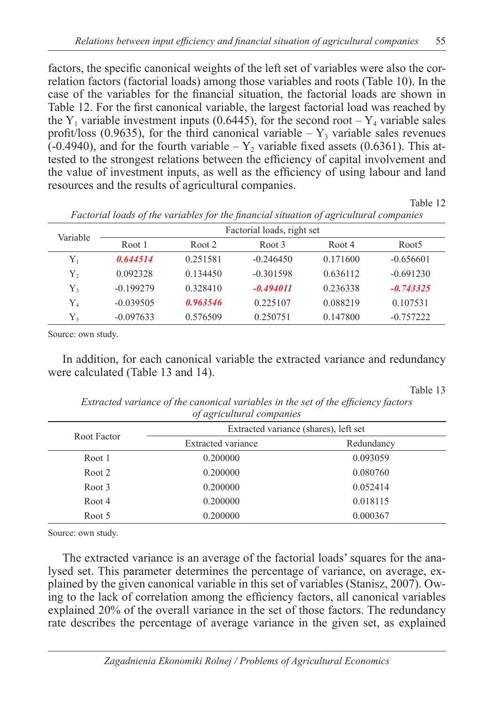factors, the specific canonical weights of the left set of variables were also the correlation factors (factorial loads) among those variables and roots (Table 10). In the case of the variables for the financial situation, the factorial loads are shown in Table 12. For the first canonical variable, the largest factorial load was reached by the Y<sub>1</sub> variable investment inputs (0.6445), for the second root – Y<sub>4</sub> variable sales profit/loss (0.9635), for the third canonical variable –  $Y_3$  variable sales revenues  $(-0.4940)$ , and for the fourth variable  $-Y_2$  variable fixed assets (0.6361). This attested to the strongest relations between the efficiency of capital involvement and the value of investment inputs, as well as the efficiency of using labour and land resources and the results of agricultural companies.

Table 12

| Variable    | Factorial loads, right set |          |             |          |                   |  |  |  |
|-------------|----------------------------|----------|-------------|----------|-------------------|--|--|--|
|             | Root 1                     | Root 2   | Root 3      | Root 4   | Root <sub>5</sub> |  |  |  |
| Y,          | 0.644514                   | 0.251581 | $-0.246450$ | 0.171600 | $-0.656601$       |  |  |  |
| Y,          | 0.092328                   | 0.134450 | $-0.301598$ | 0.636112 | $-0.691230$       |  |  |  |
| Y,          | $-0.199279$                | 0.328410 | $-0.494011$ | 0.236338 | $-0.743325$       |  |  |  |
| ${\rm Y}_4$ | $-0.039505$                | 0.963546 | 0.225107    | 0.088219 | 0.107531          |  |  |  |
| $Y_{5}$     | $-0.097633$                | 0.576509 | 0.250751    | 0.147800 | $-0.757222$       |  |  |  |

*Factorial loads of the variables for the financial situation of agricultural companies*

Source: own study.

In addition, for each canonical variable the extracted variance and redundancy were calculated (Table 13 and 14).

Table 13

*Extracted variance of the canonical variables in the set of the efficiency factors of agricultural companies*

| Root Factor | ., .,<br>Extracted variance (shares), left set |            |
|-------------|------------------------------------------------|------------|
|             | Extracted variance                             | Redundancy |
| Root 1      | 0.200000                                       | 0.093059   |
| Root 2      | 0.200000                                       | 0.080760   |
| Root 3      | 0.200000                                       | 0.052414   |
| Root 4      | 0.200000                                       | 0.018115   |
| Root 5      | 0.200000                                       | 0.000367   |

Source: own study.

The extracted variance is an average of the factorial loads' squares for the analysed set. This parameter determines the percentage of variance, on average, explained by the given canonical variable in this set of variables (Stanisz, 2007). Owing to the lack of correlation among the efficiency factors, all canonical variables explained 20% of the overall variance in the set of those factors. The redundancy rate describes the percentage of average variance in the given set, as explained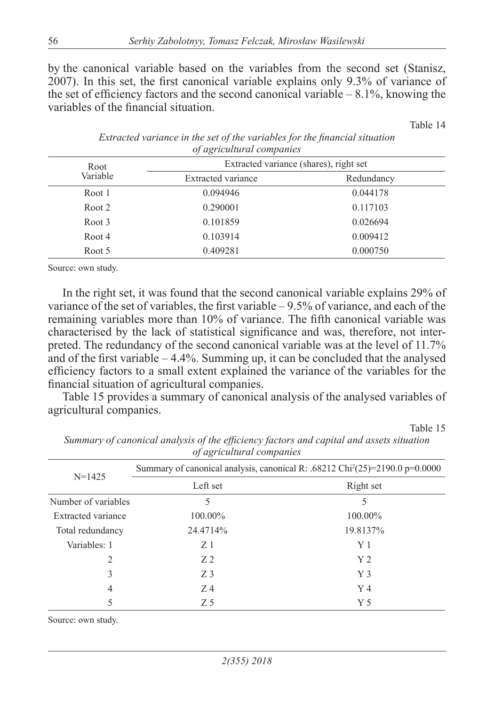by the canonical variable based on the variables from the second set (Stanisz, 2007). In this set, the first canonical variable explains only 9.3% of variance of the set of efficiency factors and the second canonical variable  $-8.1\%$ , knowing the variables of the financial situation.

Table 14

| Root     | Extracted variance (shares), right set |            |  |  |
|----------|----------------------------------------|------------|--|--|
| Variable | Extracted variance                     | Redundancy |  |  |
| Root 1   | 0.094946                               | 0.044178   |  |  |
| Root 2   | 0.290001                               | 0.117103   |  |  |
| Root 3   | 0.101859                               | 0.026694   |  |  |
| Root 4   | 0.103914                               | 0.009412   |  |  |
| Root 5   | 0.409281                               | 0.000750   |  |  |
|          |                                        |            |  |  |

|                           | Extracted variance in the set of the variables for the financial situation |  |  |  |
|---------------------------|----------------------------------------------------------------------------|--|--|--|
| of agricultural companies |                                                                            |  |  |  |

Source: own study.

In the right set, it was found that the second canonical variable explains 29% of variance of the set of variables, the first variable  $-9.5\%$  of variance, and each of the remaining variables more than 10% of variance. The fifth canonical variable was characterised by the lack of statistical significance and was, therefore, not interpreted. The redundancy of the second canonical variable was at the level of 11.7% and of the first variable  $-4.4\%$ . Summing up, it can be concluded that the analysed efficiency factors to a small extent explained the variance of the variables for the financial situation of agricultural companies.

Table 15 provides a summary of canonical analysis of the analysed variables of agricultural companies.

Table 15

| $\sim$ , $\sim$ , $\sim$ $\sim$ , $\sim$ , $\sim$ , $\sim$ $\sim$ , $\sim$ , $\sim$ , $\sim$ , $\sim$ , $\sim$ , $\sim$ , $\sim$ , $\sim$ , $\sim$ , $\sim$ , $\sim$ , $\sim$ , $\sim$ , $\sim$ , $\sim$ , $\sim$ , $\sim$ , $\sim$ , $\sim$ , $\sim$ , $\sim$ , $\sim$ , $\sim$ , $\sim$ , $\sim$ , $\sim$ , $\sim$ , $\sim$ , $\sim$ , |                                                                                          |                |  |  |
|------------------------------------------------------------------------------------------------------------------------------------------------------------------------------------------------------------------------------------------------------------------------------------------------------------------------------------------|------------------------------------------------------------------------------------------|----------------|--|--|
|                                                                                                                                                                                                                                                                                                                                          | Summary of canonical analysis, canonical R: .68212 Chi <sup>2</sup> (25)=2190.0 p=0.0000 |                |  |  |
| $N = 1425$                                                                                                                                                                                                                                                                                                                               | Left set                                                                                 | Right set      |  |  |
| Number of variables                                                                                                                                                                                                                                                                                                                      | 5                                                                                        | 5              |  |  |
| Extracted variance                                                                                                                                                                                                                                                                                                                       | 100.00%                                                                                  | 100.00%        |  |  |
| Total redundancy                                                                                                                                                                                                                                                                                                                         | 24.4714%                                                                                 | 19.8137%       |  |  |
| Variables: 1                                                                                                                                                                                                                                                                                                                             | Z <sub>1</sub>                                                                           | Y <sub>1</sub> |  |  |
| 2                                                                                                                                                                                                                                                                                                                                        | Z <sub>2</sub>                                                                           | Y <sub>2</sub> |  |  |
| 3                                                                                                                                                                                                                                                                                                                                        | Z <sub>3</sub>                                                                           | Y <sub>3</sub> |  |  |
| 4                                                                                                                                                                                                                                                                                                                                        | Z <sub>4</sub>                                                                           | $Y_4$          |  |  |
|                                                                                                                                                                                                                                                                                                                                          | Z5                                                                                       | Y <sub>5</sub> |  |  |

*Summary of canonical analysis of the efficiency factors and capital and assets situation of agricultural companies*

Source: own study.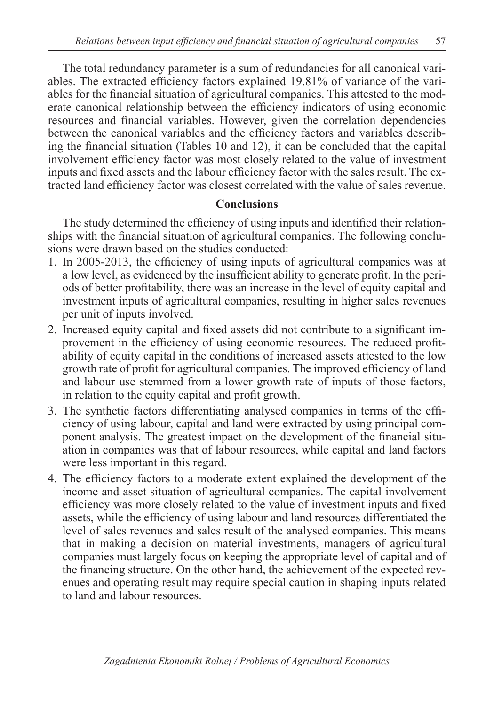The total redundancy parameter is a sum of redundancies for all canonical variables. The extracted efficiency factors explained 19.81% of variance of the variables for the financial situation of agricultural companies. This attested to the moderate canonical relationship between the efficiency indicators of using economic resources and financial variables. However, given the correlation dependencies between the canonical variables and the efficiency factors and variables describing the financial situation (Tables 10 and 12), it can be concluded that the capital involvement efficiency factor was most closely related to the value of investment inputs and fixed assets and the labour efficiency factor with the sales result. The extracted land efficiency factor was closest correlated with the value of sales revenue.

#### **Conclusions**

The study determined the efficiency of using inputs and identified their relationships with the financial situation of agricultural companies. The following conclusions were drawn based on the studies conducted:

- 1. In 2005-2013, the efficiency of using inputs of agricultural companies was at a low level, as evidenced by the insufficient ability to generate profit. In the periods of better profitability, there was an increase in the level of equity capital and investment inputs of agricultural companies, resulting in higher sales revenues per unit of inputs involved.
- 2. Increased equity capital and fixed assets did not contribute to a significant improvement in the efficiency of using economic resources. The reduced profitability of equity capital in the conditions of increased assets attested to the low growth rate of profit for agricultural companies. The improved efficiency of land and labour use stemmed from a lower growth rate of inputs of those factors, in relation to the equity capital and profit growth.
- 3. The synthetic factors differentiating analysed companies in terms of the efficiency of using labour, capital and land were extracted by using principal component analysis. The greatest impact on the development of the financial situation in companies was that of labour resources, while capital and land factors were less important in this regard.
- 4. The efficiency factors to a moderate extent explained the development of the income and asset situation of agricultural companies. The capital involvement efficiency was more closely related to the value of investment inputs and fixed assets, while the efficiency of using labour and land resources differentiated the level of sales revenues and sales result of the analysed companies. This means that in making a decision on material investments, managers of agricultural companies must largely focus on keeping the appropriate level of capital and of the financing structure. On the other hand, the achievement of the expected revenues and operating result may require special caution in shaping inputs related to land and labour resources.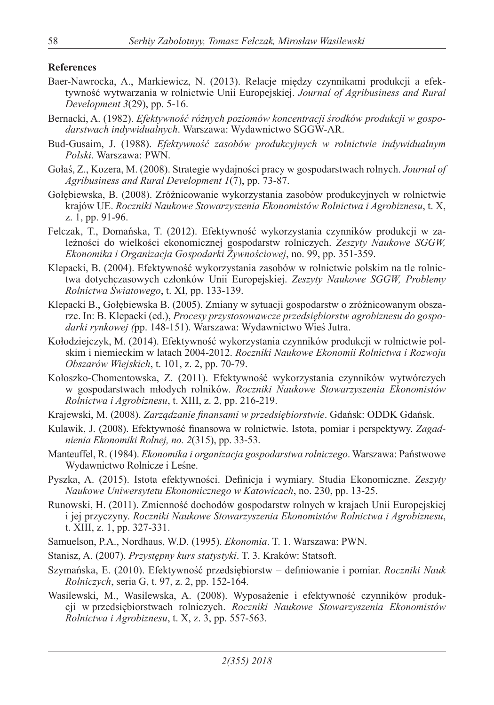#### **References**

- Baer-Nawrocka, A., Markiewicz, N. (2013). Relacje między czynnikami produkcji a efektywność wytwarzania w rolnictwie Unii Europejskiej. *Journal of Agribusiness and Rural Development 3*(29), pp. 5-16.
- Bernacki, A. (1982). *Efektywność różnych poziomów koncentracji środków produkcji w gospodarstwach indywidualnych*. Warszawa: Wydawnictwo SGGW-AR.
- Bud-Gusaim, J. (1988). *Efektywność zasobów produkcyjnych w rolnictwie indywidualnym Polski*. Warszawa: PWN.
- Gołaś, Z., Kozera, M. (2008). Strategie wydajności pracy w gospodarstwach rolnych. *Journal of Agribusiness and Rural Development 1*(7), pp. 73-87.
- Gołębiewska, B. (2008). Zróżnicowanie wykorzystania zasobów produkcyjnych w rolnictwie krajów UE. *Roczniki Naukowe Stowarzyszenia Ekonomistów Rolnictwa i Agrobiznesu*, t. X, z. 1, pp. 91-96.
- Felczak, T., Domańska, T. (2012). Efektywność wykorzystania czynników produkcji w zależności do wielkości ekonomicznej gospodarstw rolniczych. *Zeszyty Naukowe SGGW, Ekonomika i Organizacja Gospodarki Żywnościowej*, no. 99, pp. 351-359.
- Klepacki, B. (2004). Efektywność wykorzystania zasobów w rolnictwie polskim na tle rolnictwa dotychczasowych członków Unii Europejskiej. *Zeszyty Naukowe SGGW, Problemy Rolnictwa Światowego*, t. XI, pp. 133-139.
- Klepacki B., Gołębiewska B. (2005). Zmiany w sytuacji gospodarstw o zróżnicowanym obszarze. In: B. Klepacki (ed.), *Procesy przystosowawcze przedsiębiorstw agrobiznesu do gospodarki rynkowej (*pp. 148-151). Warszawa: Wydawnictwo Wieś Jutra.
- Kołodziejczyk, M. (2014). Efektywność wykorzystania czynników produkcji w rolnictwie polskim i niemieckim w latach 2004-2012. *Roczniki Naukowe Ekonomii Rolnictwa i Rozwoju Obszarów Wiejskich*, t. 101, z. 2, pp. 70-79.
- Kołoszko-Chomentowska, Z. (2011). Efektywność wykorzystania czynników wytwórczych w gospodarstwach młodych rolników. *Roczniki Naukowe Stowarzyszenia Ekonomistów Rolnictwa i Agrobiznesu*, t. XIII, z. 2, pp. 216-219.
- Krajewski, M. (2008). *Zarządzanie finansami w przedsiębiorstwie*. Gdańsk: ODDK Gdańsk.
- Kulawik, J. (2008). Efektywność finansowa w rolnictwie. Istota, pomiar i perspektywy. *Zagadnienia Ekonomiki Rolnej, no. 2*(315), pp. 33-53.
- Manteuffel, R. (1984). *Ekonomika i organizacja gospodarstwa rolniczego*. Warszawa: Państwowe Wydawnictwo Rolnicze i Leśne.
- Pyszka, A. (2015). Istota efektywności. Definicja i wymiary. Studia Ekonomiczne. *Zeszyty Naukowe Uniwersytetu Ekonomicznego w Katowicach*, no. 230, pp. 13-25.
- Runowski, H. (2011). Zmienność dochodów gospodarstw rolnych w krajach Unii Europejskiej i jej przyczyny. *Roczniki Naukowe Stowarzyszenia Ekonomistów Rolnictwa i Agrobiznesu*, t. XIII, z. 1, pp. 327-331.
- Samuelson, P.A., Nordhaus, W.D. (1995). *Ekonomia*. T. 1. Warszawa: PWN.
- Stanisz, A. (2007). *Przystępny kurs statystyki*. T. 3. Kraków: Statsoft.
- Szymańska, E. (2010). Efektywność przedsiębiorstw definiowanie i pomiar. *Roczniki Nauk Rolniczych*, seria G, t. 97, z. 2, pp. 152-164.
- Wasilewski, M., Wasilewska, A. (2008). Wyposażenie i efektywność czynników produkcji w przedsiębiorstwach rolniczych. *Roczniki Naukowe Stowarzyszenia Ekonomistów Rolnictwa i Agrobiznesu*, t. X, z. 3, pp. 557-563.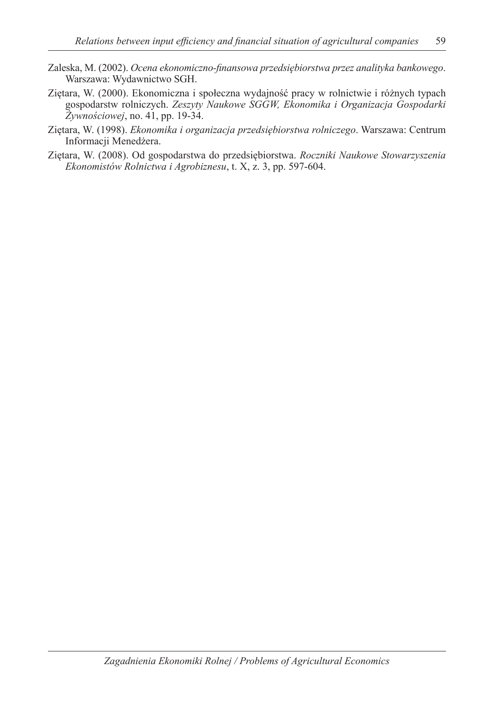- Zaleska, M. (2002). *Ocena ekonomiczno-finansowa przedsiębiorstwa przez analityka bankowego*. Warszawa: Wydawnictwo SGH.
- Ziętara, W. (2000). Ekonomiczna i społeczna wydajność pracy w rolnictwie i różnych typach gospodarstw rolniczych. *Zeszyty Naukowe SGGW, Ekonomika i Organizacja Gospodarki Żywnościowej*, no. 41, pp. 19-34.
- Ziętara, W. (1998). *Ekonomika i organizacja przedsiębiorstwa rolniczego*. Warszawa: Centrum Informacji Menedżera.
- Ziętara, W. (2008). Od gospodarstwa do przedsiębiorstwa. *Roczniki Naukowe Stowarzyszenia Ekonomistów Rolnictwa i Agrobiznesu*, t. X, z. 3, pp. 597-604.